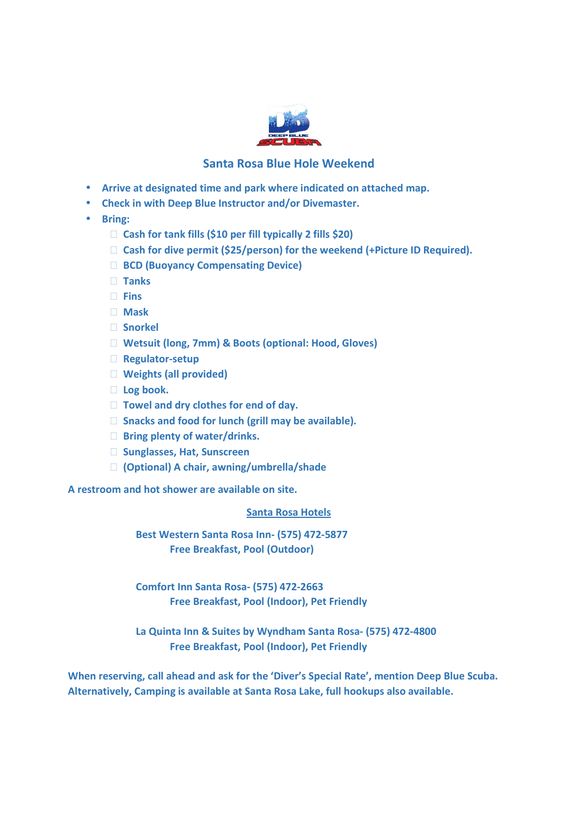

## **Santa Rosa Blue Hole Weekend**

- **Arrive at designated time and park where indicated on attached map.**
- **Check in with Deep Blue Instructor and/or Divemaster.**
- **Bring:**

 **Cash for tank fills (\$10 per fill typically 2 fills \$20) Cash for dive permit (\$25/person) for the weekend (+Picture ID Required). BCD (Buoyancy Compensating Device) Tanks Fins Mask Snorkel Wetsuit (long, 7mm) & Boots (optional: Hood, Gloves) Regulator-setup Weights (all provided) Log book. Towel and dry clothes for end of day. Snacks and food for lunch (grill may be available). Bring plenty of water/drinks. Sunglasses, Hat, Sunscreen (Optional) A chair, awning/umbrella/shade** 

**A restroom and hot shower are available on site.** 

## **Santa Rosa Hotels**

 **Best Western Santa Rosa Inn- (575) 472-5877 Free Breakfast, Pool (Outdoor)** 

 **Comfort Inn Santa Rosa- (575) 472-2663 Free Breakfast, Pool (Indoor), Pet Friendly** 

 **La Quinta Inn & Suites by Wyndham Santa Rosa- (575) 472-4800 Free Breakfast, Pool (Indoor), Pet Friendly** 

**When reserving, call ahead and ask for the 'Diver's Special Rate', mention Deep Blue Scuba. Alternatively, Camping is available at Santa Rosa Lake, full hookups also available.**